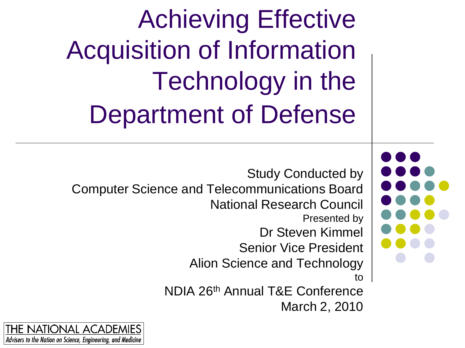Achieving Effective Acquisition of Information Technology in the Department of Defense

Study Conducted by Computer Science and Telecommunications Board National Research Council Presented by Dr Steven Kimmel Senior Vice President Alion Science and Technology to NDIA 26th Annual T&E Conference March 2, 2010

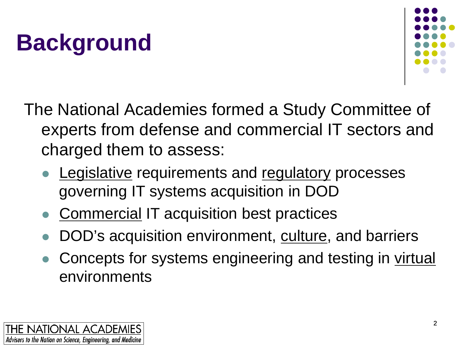### **Background**



The National Academies formed a Study Committee of experts from defense and commercial IT sectors and charged them to assess:

- Legislative requirements and regulatory processes governing IT systems acquisition in DOD
- Commercial IT acquisition best practices
- DOD's acquisition environment, culture, and barriers
- Concepts for systems engineering and testing in virtual environments

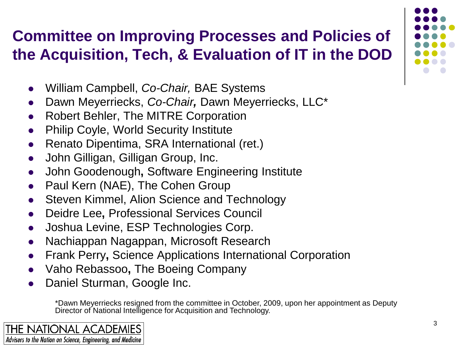#### **Committee on Improving Processes and Policies of the Acquisition, Tech, & Evaluation of IT in the DOD**

- William Campbell, *Co-Chair,* BAE Systems
- Dawn Meyerriecks, *Co-Chair,* Dawn Meyerriecks, LLC\*
- Robert Behler, The MITRE Corporation
- Philip Coyle, World Security Institute
- Renato Dipentima, SRA International (ret.)
- John Gilligan, Gilligan Group, Inc.
- John Goodenough**,** Software Engineering Institute
- Paul Kern (NAE), The Cohen Group
- Steven Kimmel, Alion Science and Technology
- Deidre Lee**,** Professional Services Council
- Joshua Levine, ESP Technologies Corp.
- Nachiappan Nagappan, Microsoft Research
- Frank Perry**,** Science Applications International Corporation
- Vaho Rebassoo**,** The Boeing Company
- Daniel Sturman, Google Inc.

\*Dawn Meyerriecks resigned from the committee in October, 2009, upon her appointment as Deputy Director of National Intelligence for Acquisition and Technology.

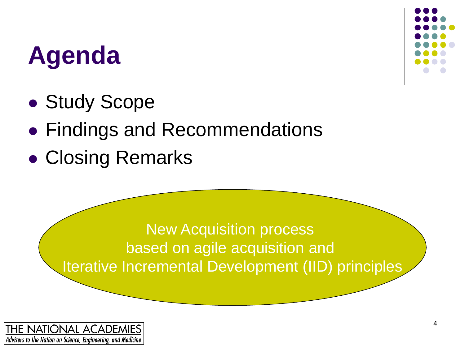#### **Agenda**

- Study Scope
- Findings and Recommendations
- Closing Remarks

New Acquisition process based on agile acquisition and Iterative Incremental Development (IID) principles

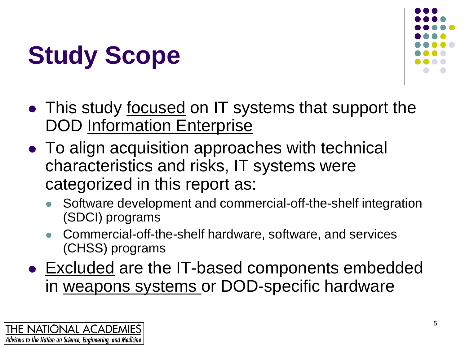



- This study focused on IT systems that support the DOD Information Enterprise
- To align acquisition approaches with technical characteristics and risks, IT systems were categorized in this report as:
	- Software development and commercial-off-the-shelf integration (SDCI) programs
	- Commercial-off-the-shelf hardware, software, and services (CHSS) programs
- Excluded are the IT-based components embedded in weapons systems or DOD-specific hardware

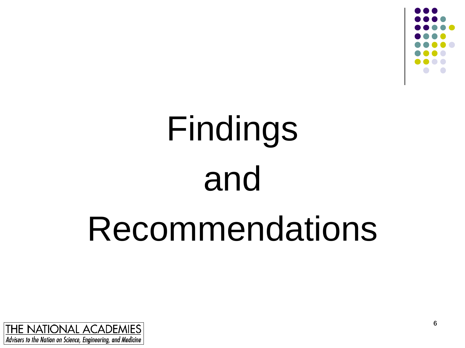

# Findings and Recommendations

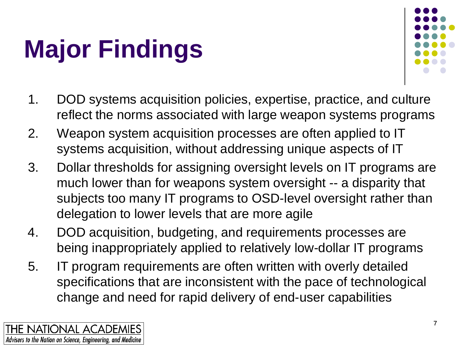# **Major Findings**



- 1. DOD systems acquisition policies, expertise, practice, and culture reflect the norms associated with large weapon systems programs
- 2. Weapon system acquisition processes are often applied to IT systems acquisition, without addressing unique aspects of IT
- 3. Dollar thresholds for assigning oversight levels on IT programs are much lower than for weapons system oversight -- a disparity that subjects too many IT programs to OSD-level oversight rather than delegation to lower levels that are more agile
- 4. DOD acquisition, budgeting, and requirements processes are being inappropriately applied to relatively low-dollar IT programs
- 5. IT program requirements are often written with overly detailed specifications that are inconsistent with the pace of technological change and need for rapid delivery of end-user capabilities

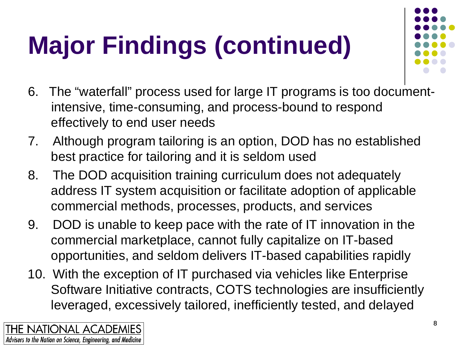# **Major Findings (continued)**

- 
- 6. The "waterfall" process used for large IT programs is too documentintensive, time-consuming, and process-bound to respond effectively to end user needs
- 7. Although program tailoring is an option, DOD has no established best practice for tailoring and it is seldom used
- 8. The DOD acquisition training curriculum does not adequately address IT system acquisition or facilitate adoption of applicable commercial methods, processes, products, and services
- 9. DOD is unable to keep pace with the rate of IT innovation in the commercial marketplace, cannot fully capitalize on IT-based opportunities, and seldom delivers IT-based capabilities rapidly
- 10. With the exception of IT purchased via vehicles like Enterprise Software Initiative contracts, COTS technologies are insufficiently leveraged, excessively tailored, inefficiently tested, and delayed

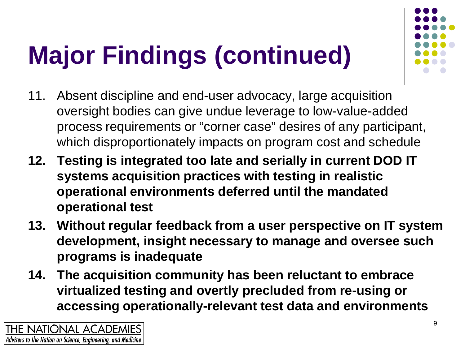# **Major Findings (continued)**

- 11. Absent discipline and end-user advocacy, large acquisition oversight bodies can give undue leverage to low-value-added process requirements or "corner case" desires of any participant, which disproportionately impacts on program cost and schedule
- **12. Testing is integrated too late and serially in current DOD IT systems acquisition practices with testing in realistic operational environments deferred until the mandated operational test**
- **13. Without regular feedback from a user perspective on IT system development, insight necessary to manage and oversee such programs is inadequate**
- **14. The acquisition community has been reluctant to embrace virtualized testing and overtly precluded from re-using or accessing operationally-relevant test data and environments**

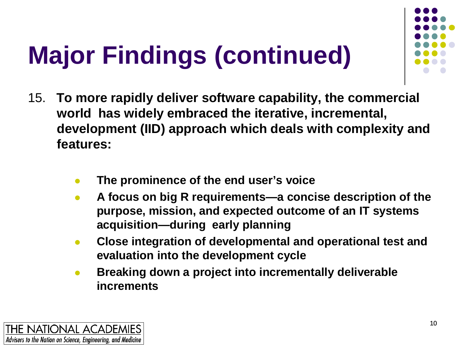# **Major Findings (continued)**

- 15. **To more rapidly deliver software capability, the commercial world has widely embraced the iterative, incremental, development (IID) approach which deals with complexity and features:**
	- **The prominence of the end user's voice**
	- **A focus on big R requirements—a concise description of the purpose, mission, and expected outcome of an IT systems acquisition—during early planning**
	- **Close integration of developmental and operational test and evaluation into the development cycle**
	- **Breaking down a project into incrementally deliverable increments**

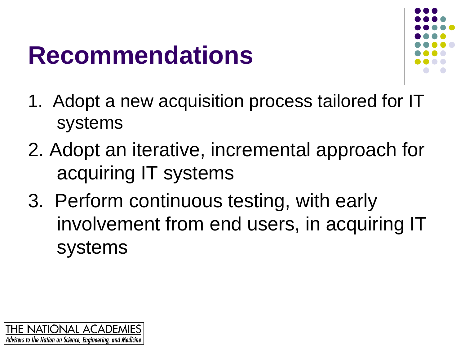#### **Recommendations**



- 1. Adopt a new acquisition process tailored for IT systems
- 2. Adopt an iterative, incremental approach for acquiring IT systems
- 3. Perform continuous testing, with early involvement from end users, in acquiring IT systems

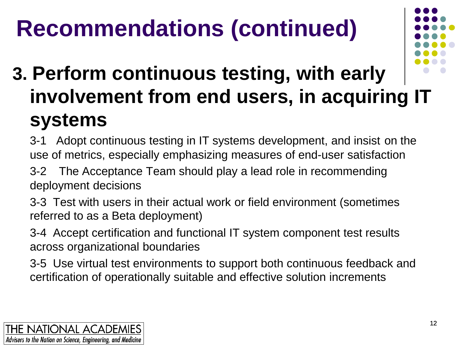#### **Recommendations (continued)**



#### **3. Perform continuous testing, with early involvement from end users, in acquiring IT systems**

- 3-1 Adopt continuous testing in IT systems development, and insist on the use of metrics, especially emphasizing measures of end-user satisfaction
- 3-2 The Acceptance Team should play a lead role in recommending deployment decisions
- 3-3 Test with users in their actual work or field environment (sometimes referred to as a Beta deployment)
- 3-4 Accept certification and functional IT system component test results across organizational boundaries
- 3-5 Use virtual test environments to support both continuous feedback and certification of operationally suitable and effective solution increments

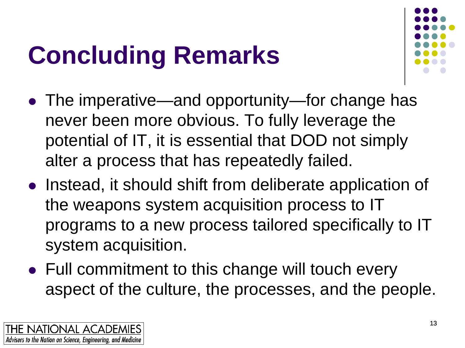### **Concluding Remarks**



- The imperative—and opportunity—for change has never been more obvious. To fully leverage the potential of IT, it is essential that DOD not simply alter a process that has repeatedly failed.
- Instead, it should shift from deliberate application of the weapons system acquisition process to IT programs to a new process tailored specifically to IT system acquisition.
- Full commitment to this change will touch every aspect of the culture, the processes, and the people.

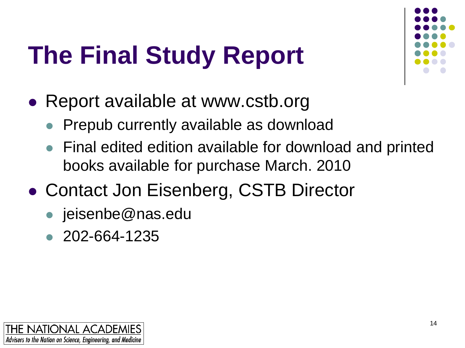### **The Final Study Report**



- Report available at www.cstb.org
	- Prepub currently available as download
	- Final edited edition available for download and printed books available for purchase March. 2010
- Contact Jon Eisenberg, CSTB Director
	- jeisenbe@nas.edu
	- 202-664-1235

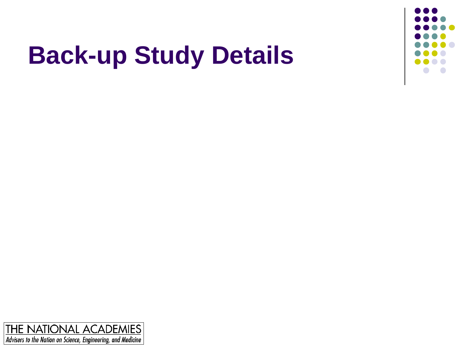

### **Back-up Study Details**

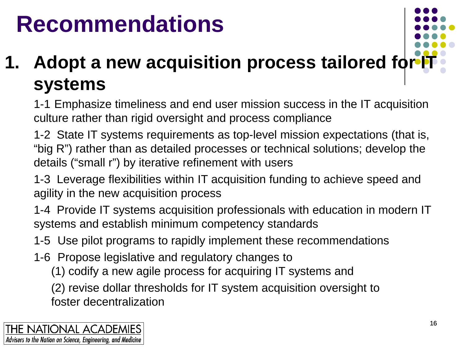#### **Recommendations**

#### **1. Adopt a new acquisition process tailored for I systems**

1-1 Emphasize timeliness and end user mission success in the IT acquisition culture rather than rigid oversight and process compliance

1-2 State IT systems requirements as top-level mission expectations (that is, "big R") rather than as detailed processes or technical solutions; develop the details ("small r") by iterative refinement with users

1-3 Leverage flexibilities within IT acquisition funding to achieve speed and agility in the new acquisition process

1-4 Provide IT systems acquisition professionals with education in modern IT systems and establish minimum competency standards

1-5 Use pilot programs to rapidly implement these recommendations

- 1-6 Propose legislative and regulatory changes to
	- (1) codify a new agile process for acquiring IT systems and

(2) revise dollar thresholds for IT system acquisition oversight to foster decentralization

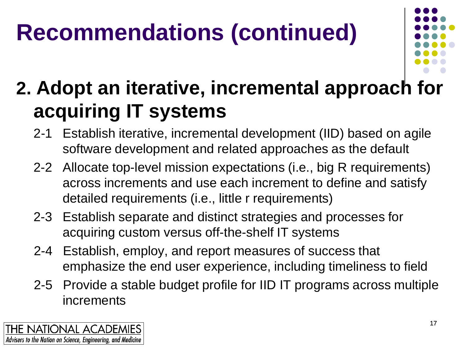### **Recommendations (continued)**



#### **2. Adopt an iterative, incremental approach for acquiring IT systems**

- 2-1 Establish iterative, incremental development (IID) based on agile software development and related approaches as the default
- 2-2 Allocate top-level mission expectations (i.e., big R requirements) across increments and use each increment to define and satisfy detailed requirements (i.e., little r requirements)
- 2-3 Establish separate and distinct strategies and processes for acquiring custom versus off-the-shelf IT systems
- 2-4 Establish, employ, and report measures of success that emphasize the end user experience, including timeliness to field
- 2-5 Provide a stable budget profile for IID IT programs across multiple increments

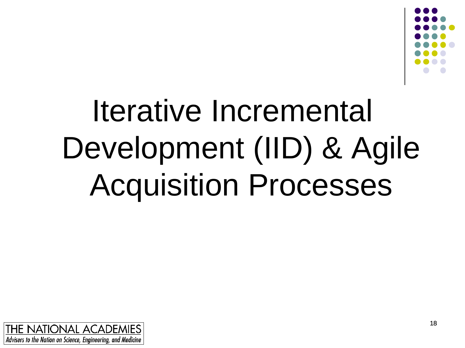

# Iterative Incremental Development (IID) & Agile Acquisition Processes

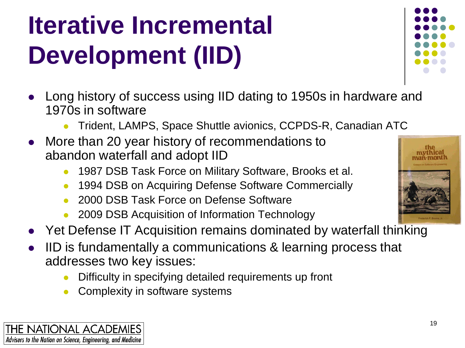### **Iterative Incremental Development (IID)**

- Long history of success using IID dating to 1950s in hardware and 1970s in software
	- Trident, LAMPS, Space Shuttle avionics, CCPDS-R, Canadian ATC
- More than 20 year history of recommendations to abandon waterfall and adopt IID
	- 1987 DSB Task Force on Military Software, Brooks et al.
	- 1994 DSB on Acquiring Defense Software Commercially
	- 2000 DSB Task Force on Defense Software
	- 2009 DSB Acquisition of Information Technology
- Yet Defense IT Acquisition remains dominated by waterfall thinking
- IID is fundamentally a communications & learning process that addresses two key issues:
	- Difficulty in specifying detailed requirements up front
	- Complexity in software systems





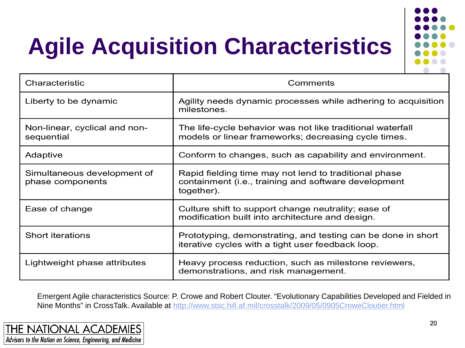### **Agile Acquisition Characteristics**



| Characteristic                                  | Comments                                                                                                                    |
|-------------------------------------------------|-----------------------------------------------------------------------------------------------------------------------------|
| Liberty to be dynamic                           | Agility needs dynamic processes while adhering to acquisition<br>milestones.                                                |
| Non-linear, cyclical and non-<br>sequential     | The life-cycle behavior was not like traditional waterfall<br>models or linear frameworks; decreasing cycle times.          |
| Adaptive                                        | Conform to changes, such as capability and environment.                                                                     |
| Simultaneous development of<br>phase components | Rapid fielding time may not lend to traditional phase<br>containment (i.e., training and software development<br>together). |
| Ease of change                                  | Culture shift to support change neutrality; ease of<br>modification built into architecture and design.                     |
| Short iterations                                | Prototyping, demonstrating, and testing can be done in short<br>iterative cycles with a tight user feedback loop.           |
| Lightweight phase attributes                    | Heavy process reduction, such as milestone reviewers,<br>demonstrations, and risk management.                               |

Emergent Agile characteristics Source: P. Crowe and Robert Clouter. "Evolutionary Capabilities Developed and Fielded in Nine Months" in CrossTalk. Available at<http://www.stsc.hill.af.mil/crosstalk/2009/05/0905CroweCloutier.html>

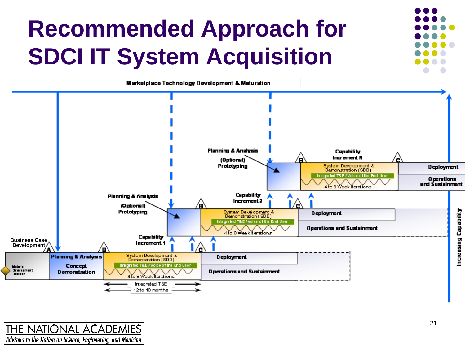

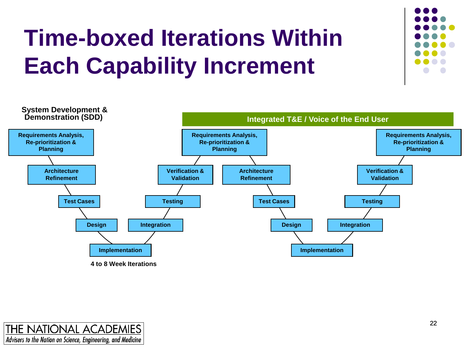#### **Time-boxed Iterations Within Each Capability Increment**